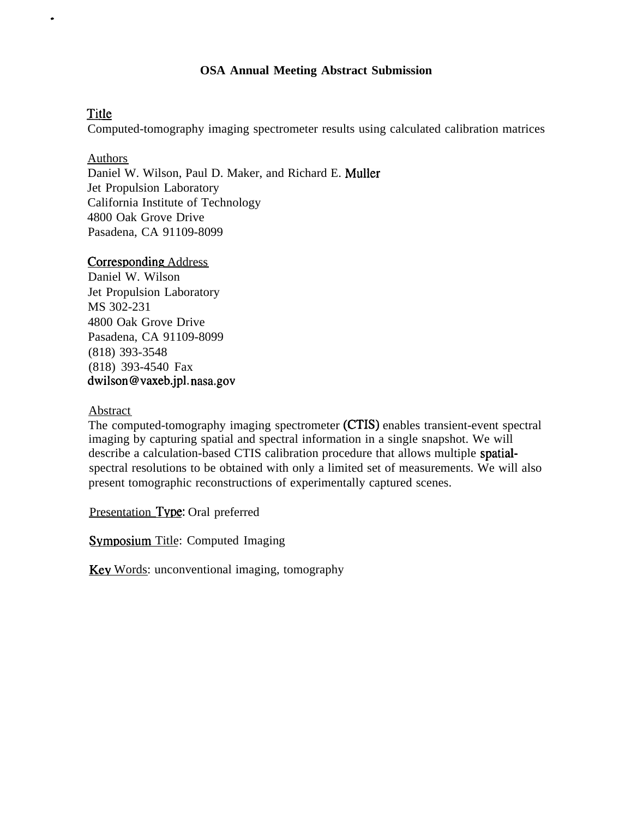# **OSA Annual Meeting Abstract Submission**

# Title

.

Computed-tomography imaging spectrometer results using calculated calibration matrices

## Authors

Daniel W. Wilson, Paul D. Maker, and Richard E. Muller Jet Propulsion Laboratory California Institute of Technology 4800 Oak Grove Drive Pasadena, CA 91109-8099

# Corresponding Address

Daniel W. Wilson Jet Propulsion Laboratory MS 302-231 4800 Oak Grove Drive Pasadena, CA 91109-8099 (818) 393-3548 (818) 393-4540 Fax dwilson@vaxeb.jpl. nasa.gov

# Abstract

The computed-tomography imaging spectrometer (CTIS) enables transient-event spectral imaging by capturing spatial and spectral information in a single snapshot. We will describe a calculation-based CTIS calibration procedure that allows multiple spatialspectral resolutions to be obtained with only a limited set of measurements. We will also present tomographic reconstructions of experimentally captured scenes.

Presentation Type: Oral preferred

Symposium Title: Computed Imaging

Key Words: unconventional imaging, tomography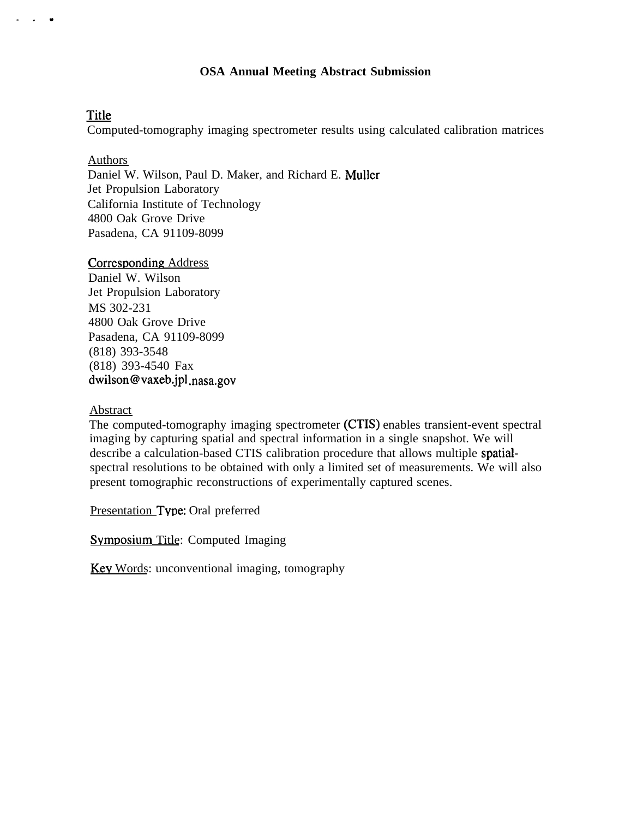## **OSA Annual Meeting Abstract Submission**

## Title

. . .

Computed-tomography imaging spectrometer results using calculated calibration matrices

## Authors

Daniel W. Wilson, Paul D. Maker, and Richard E. Muller Jet Propulsion Laboratory California Institute of Technology 4800 Oak Grove Drive Pasadena, CA 91109-8099

## Corresponding Address

Daniel W. Wilson Jet Propulsion Laboratory MS 302-231 4800 Oak Grove Drive Pasadena, CA 91109-8099 (818) 393-3548 (818) 393-4540 Fax dwilson@vaxeb,jpl .nasa.gov

## Abstract

The computed-tomography imaging spectrometer (CTIS) enables transient-event spectral imaging by capturing spatial and spectral information in a single snapshot. We will describe a calculation-based CTIS calibration procedure that allows multiple spatialspectral resolutions to be obtained with only a limited set of measurements. We will also present tomographic reconstructions of experimentally captured scenes.

Presentation Type: Oral preferred

Symposium Title: Computed Imaging

Key Words: unconventional imaging, tomography